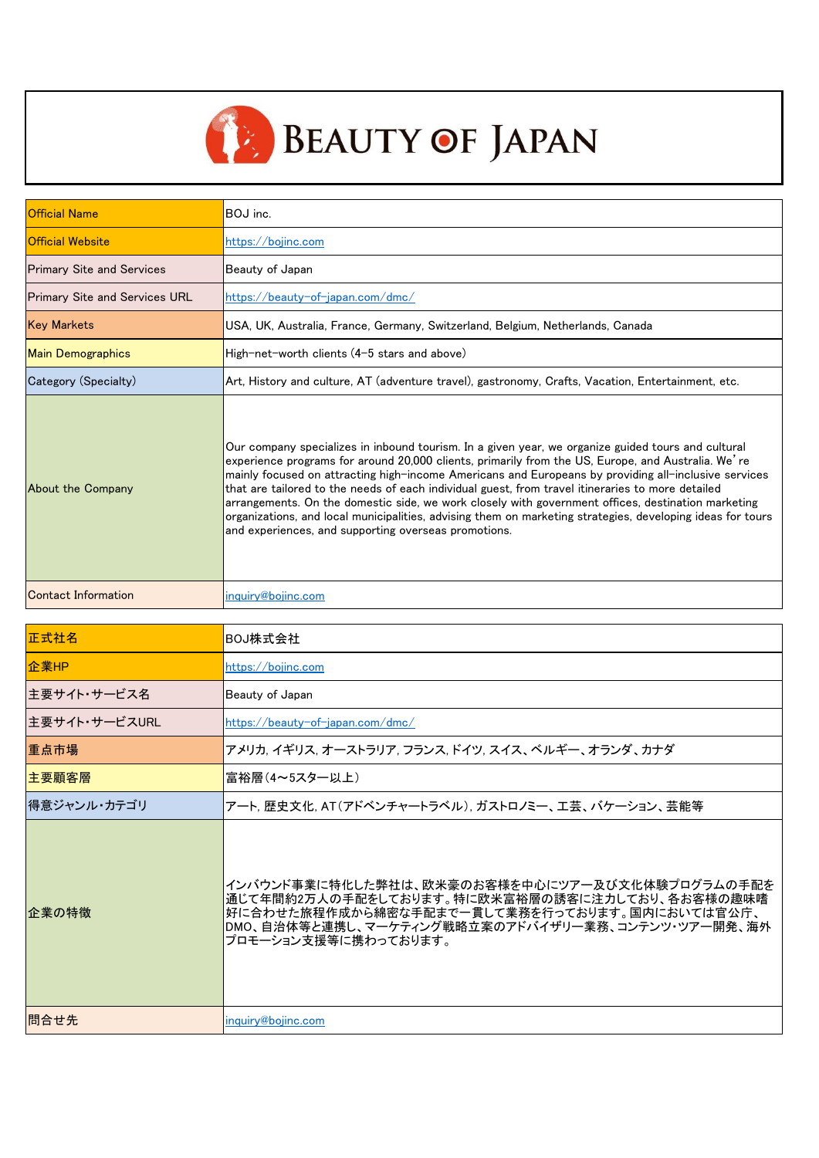

| <b>Official Name</b>                 | BOJ inc.                                                                                                                                                                                                                                                                                                                                                                                                                                                                                                                                                                                                                                                                                          |
|--------------------------------------|---------------------------------------------------------------------------------------------------------------------------------------------------------------------------------------------------------------------------------------------------------------------------------------------------------------------------------------------------------------------------------------------------------------------------------------------------------------------------------------------------------------------------------------------------------------------------------------------------------------------------------------------------------------------------------------------------|
| <b>Official Website</b>              | https://bojinc.com                                                                                                                                                                                                                                                                                                                                                                                                                                                                                                                                                                                                                                                                                |
| <b>Primary Site and Services</b>     | Beauty of Japan                                                                                                                                                                                                                                                                                                                                                                                                                                                                                                                                                                                                                                                                                   |
| <b>Primary Site and Services URL</b> | https://beauty-of-japan.com/dmc/                                                                                                                                                                                                                                                                                                                                                                                                                                                                                                                                                                                                                                                                  |
| <b>Key Markets</b>                   | USA, UK, Australia, France, Germany, Switzerland, Belgium, Netherlands, Canada                                                                                                                                                                                                                                                                                                                                                                                                                                                                                                                                                                                                                    |
| <b>Main Demographics</b>             | High-net-worth clients (4-5 stars and above)                                                                                                                                                                                                                                                                                                                                                                                                                                                                                                                                                                                                                                                      |
| Category (Specialty)                 | Art, History and culture, AT (adventure travel), gastronomy, Crafts, Vacation, Entertainment, etc.                                                                                                                                                                                                                                                                                                                                                                                                                                                                                                                                                                                                |
| About the Company                    | Our company specializes in inbound tourism. In a given year, we organize guided tours and cultural<br>experience programs for around 20,000 clients, primarily from the US, Europe, and Australia. We're<br>mainly focused on attracting high-income Americans and Europeans by providing all-inclusive services<br>that are tailored to the needs of each individual guest, from travel itineraries to more detailed<br>arrangements. On the domestic side, we work closely with government offices, destination marketing<br>organizations, and local municipalities, advising them on marketing strategies, developing ideas for tours<br>and experiences, and supporting overseas promotions. |
| Contact Information                  | inquiry@bojinc.com                                                                                                                                                                                                                                                                                                                                                                                                                                                                                                                                                                                                                                                                                |

| 正式社名          | BOJ株式会社                                                                                                                                                                                                                         |
|---------------|---------------------------------------------------------------------------------------------------------------------------------------------------------------------------------------------------------------------------------|
| 企業HP          | https://bojinc.com                                                                                                                                                                                                              |
| 主要サイト・サービス名   | Beauty of Japan                                                                                                                                                                                                                 |
| 主要サイト・サービスURL | https://beauty-of-japan.com/dmc/                                                                                                                                                                                                |
| 重点市場          | アメリカ, イギリス, オーストラリア, フランス, ドイツ, スイス、ベルギー、オランダ、カナダ                                                                                                                                                                               |
| 主要顧客層         | 富裕層(4~5スター以上)                                                                                                                                                                                                                   |
| 得意ジャンル・カテゴリ   | アート, 歴史文化, AT(アドベンチャートラベル), ガストロノミー、工芸、バケーション、芸能等                                                                                                                                                                               |
| 企業の特徴         | インバウンド事業に特化した弊社は、欧米豪のお客様を中心にツアー及び文化体験プログラムの手配を<br>通じて年間約2万人の手配をしております。特に欧米富裕層の誘客に注力しており、各お客様の趣味嗜<br> 好に合わせた旅程作成から綿密な手配まで一貫して業務を行っております。国内においては官公庁、<br>DMO、自治体等と連携し、マーケティング戦略立案のアドバイザリー業務、コンテンツ・ツアー開発、海外<br>プロモーション支援等に携わっております。 |
| 間合せ先          | inquiry@bojinc.com                                                                                                                                                                                                              |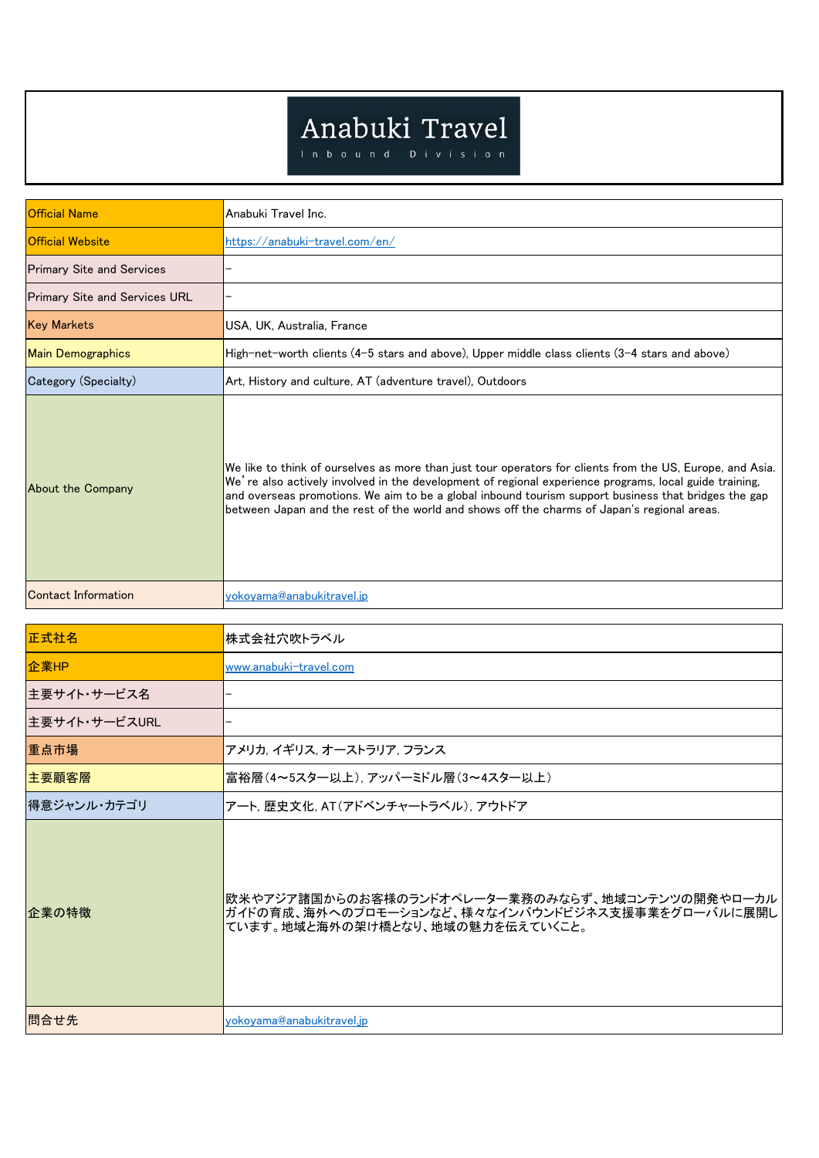## Anabuki Travel

| <b>Official Name</b>                 | Anabuki Travel Inc.                                                                                                                                                                                                                                                                                                                                                                                                        |
|--------------------------------------|----------------------------------------------------------------------------------------------------------------------------------------------------------------------------------------------------------------------------------------------------------------------------------------------------------------------------------------------------------------------------------------------------------------------------|
| <b>Official Website</b>              | https://anabuki-travel.com/en/                                                                                                                                                                                                                                                                                                                                                                                             |
| <b>Primary Site and Services</b>     |                                                                                                                                                                                                                                                                                                                                                                                                                            |
| <b>Primary Site and Services URL</b> |                                                                                                                                                                                                                                                                                                                                                                                                                            |
| <b>Key Markets</b>                   | USA, UK, Australia, France                                                                                                                                                                                                                                                                                                                                                                                                 |
| <b>Main Demographics</b>             | High-net-worth clients (4-5 stars and above), Upper middle class clients (3-4 stars and above)                                                                                                                                                                                                                                                                                                                             |
| Category (Specialty)                 | Art, History and culture, AT (adventure travel), Outdoors                                                                                                                                                                                                                                                                                                                                                                  |
| About the Company                    | We like to think of ourselves as more than just tour operators for clients from the US, Europe, and Asia.<br>We're also actively involved in the development of regional experience programs, local guide training,<br>and overseas promotions. We aim to be a global inbound tourism support business that bridges the gap<br>between Japan and the rest of the world and shows off the charms of Japan's regional areas. |
| <b>Contact Information</b>           | yokoyama@anabukitravel.jp                                                                                                                                                                                                                                                                                                                                                                                                  |

| 正式社名          | 株式会社穴吹トラベル                                                                                                                              |
|---------------|-----------------------------------------------------------------------------------------------------------------------------------------|
| 企業HP          | www.anabuki-travel.com                                                                                                                  |
| 主要サイト・サービス名   |                                                                                                                                         |
| 主要サイト・サービスURL |                                                                                                                                         |
| 重点市場          | アメリカ, イギリス, オーストラリア, フランス                                                                                                               |
| 主要顧客層         | 富裕層(4~5スター以上), アッパーミドル層(3~4スター以上)                                                                                                       |
| 得意ジャンル・カテゴリ   | アート, 歴史文化, AT(アドベンチャートラベル), アウトドア                                                                                                       |
| 企業の特徴         | 欧米やアジア諸国からのお客様のランドオペレーター業務のみならず、地域コンテンツの開発やローカル<br>ガイドの育成、海外へのプロモーションなど、様々なインバウンドビジネス支援事業をグローバルに展開し<br>ています。地域と海外の架け橋となり、地域の魅力を伝えていくこと。 |
| 問合せ先          | <u>yokoyama@anabukitravel.jp</u>                                                                                                        |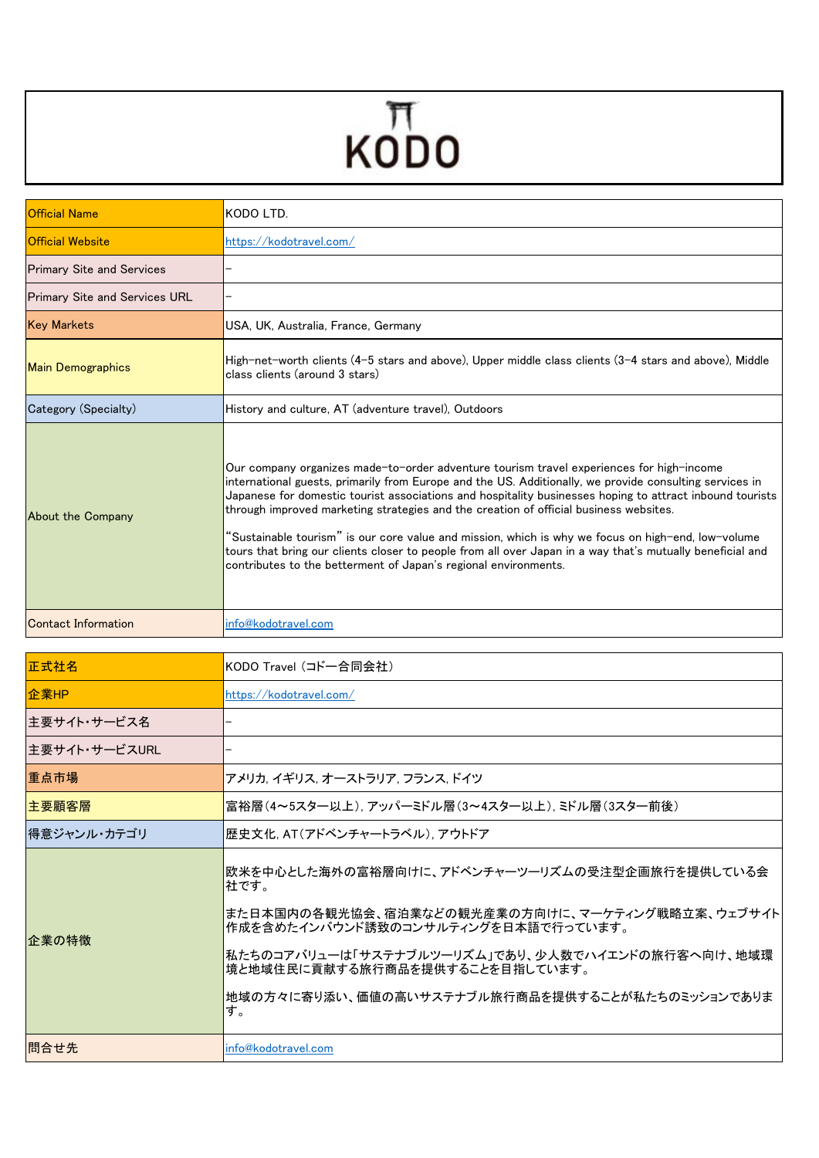## $KODO$

| <b>Official Name</b>                 | KODO LTD.                                                                                                                                                                                                                                                                                                                                                                                                                                                                                                                                                                                                                                                                                      |
|--------------------------------------|------------------------------------------------------------------------------------------------------------------------------------------------------------------------------------------------------------------------------------------------------------------------------------------------------------------------------------------------------------------------------------------------------------------------------------------------------------------------------------------------------------------------------------------------------------------------------------------------------------------------------------------------------------------------------------------------|
| <b>Official Website</b>              | https://kodotravel.com/                                                                                                                                                                                                                                                                                                                                                                                                                                                                                                                                                                                                                                                                        |
| <b>Primary Site and Services</b>     |                                                                                                                                                                                                                                                                                                                                                                                                                                                                                                                                                                                                                                                                                                |
| <b>Primary Site and Services URL</b> |                                                                                                                                                                                                                                                                                                                                                                                                                                                                                                                                                                                                                                                                                                |
| <b>Key Markets</b>                   | USA, UK, Australia, France, Germany                                                                                                                                                                                                                                                                                                                                                                                                                                                                                                                                                                                                                                                            |
| <b>Main Demographics</b>             | High-net-worth clients (4–5 stars and above), Upper middle class clients (3–4 stars and above), Middle<br>class clients (around 3 stars)                                                                                                                                                                                                                                                                                                                                                                                                                                                                                                                                                       |
| Category (Specialty)                 | History and culture, AT (adventure travel), Outdoors                                                                                                                                                                                                                                                                                                                                                                                                                                                                                                                                                                                                                                           |
| About the Company                    | Our company organizes made-to-order adventure tourism travel experiences for high-income<br>international guests, primarily from Europe and the US. Additionally, we provide consulting services in<br>Japanese for domestic tourist associations and hospitality businesses hoping to attract inbound tourists<br>through improved marketing strategies and the creation of official business websites.<br>"Sustainable tourism" is our core value and mission, which is why we focus on high-end, low-volume<br>tours that bring our clients closer to people from all over Japan in a way that's mutually beneficial and<br>contributes to the betterment of Japan's regional environments. |
| Contact Information                  | info@kodotravel.com                                                                                                                                                                                                                                                                                                                                                                                                                                                                                                                                                                                                                                                                            |

| 正式社名          | KODO Travel (コドー合同会社)                                                                                                                                                                                                                                                                               |
|---------------|-----------------------------------------------------------------------------------------------------------------------------------------------------------------------------------------------------------------------------------------------------------------------------------------------------|
| 企業HP          | https://kodotravel.com/                                                                                                                                                                                                                                                                             |
| 主要サイト・サービス名   |                                                                                                                                                                                                                                                                                                     |
| 主要サイト・サービスURL |                                                                                                                                                                                                                                                                                                     |
| 重点市場          | アメリカ, イギリス, オーストラリア, フランス, ドイツ                                                                                                                                                                                                                                                                      |
| 主要顧客層         | 富裕層(4~5スター以上),アッパーミドル層(3~4スター以上),ミドル層(3スター前後)                                                                                                                                                                                                                                                       |
| 得意ジャンル・カテゴリ   | 歴史文化. AT(アドベンチャートラベル). アウトドア                                                                                                                                                                                                                                                                        |
| 企業の特徴         | 欧米を中心とした海外の富裕層向けに、アドベンチャーツーリズムの受注型企画旅行を提供している会<br>社です。<br>また日本国内の各観光協会、宿泊業などの観光産業の方向けに、マーケティング戦略立案、ウェブサイト<br> 作成を含めたインバウンド誘致のコンサルティングを日本語で行っています。<br> 私たちのコアバリューは「サステナブルツーリズム」であり、少人数でハイエンドの旅行客へ向け、地域環<br>境と地域住民に貢献する旅行商品を提供することを目指しています。<br> 地域の方々に寄り添い、価値の高いサステナブル旅行商品を提供することが私たちのミッションでありま<br>す。 |
| 間合せ先          | info@kodotravel.com                                                                                                                                                                                                                                                                                 |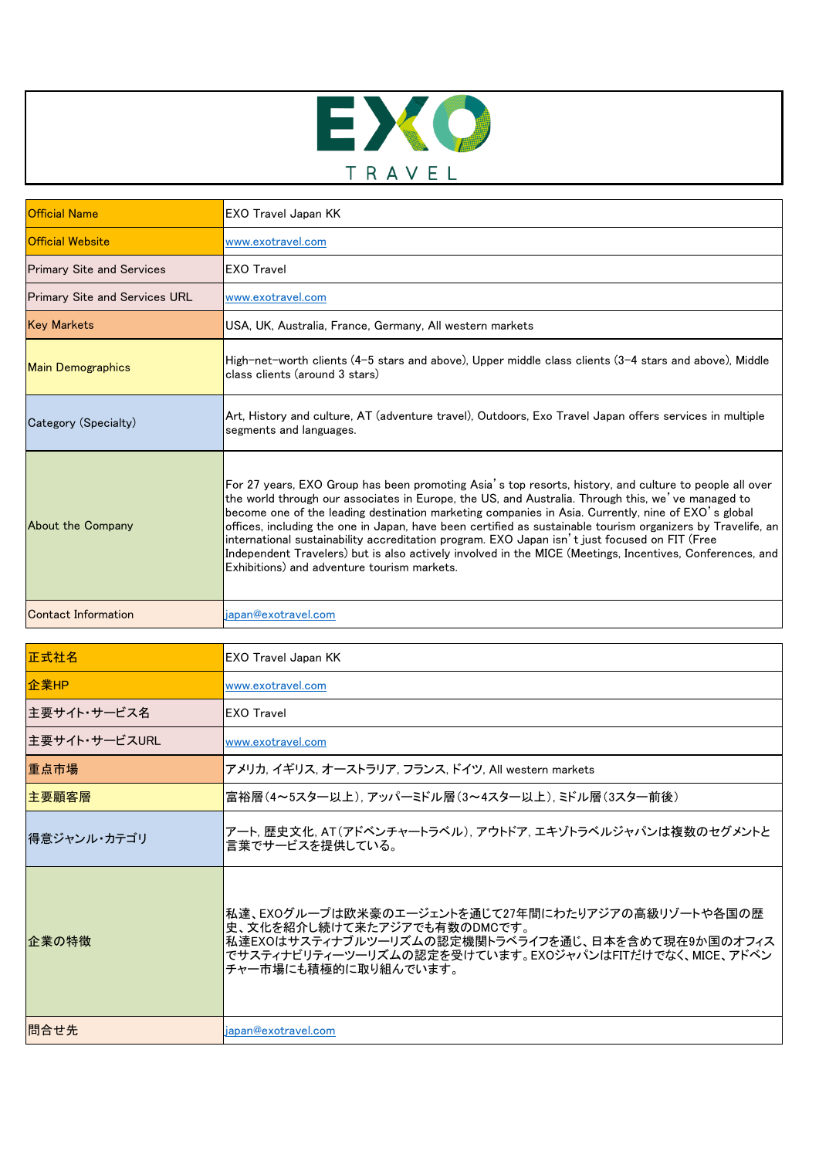

| <b>Official Name</b>                 | <b>EXO Travel Japan KK</b>                                                                                                                                                                                                                                                                                                                                                                                                                                                                                                                                                                                                                                                                   |
|--------------------------------------|----------------------------------------------------------------------------------------------------------------------------------------------------------------------------------------------------------------------------------------------------------------------------------------------------------------------------------------------------------------------------------------------------------------------------------------------------------------------------------------------------------------------------------------------------------------------------------------------------------------------------------------------------------------------------------------------|
| <b>Official Website</b>              | www.exotravel.com                                                                                                                                                                                                                                                                                                                                                                                                                                                                                                                                                                                                                                                                            |
| <b>Primary Site and Services</b>     | <b>EXO Travel</b>                                                                                                                                                                                                                                                                                                                                                                                                                                                                                                                                                                                                                                                                            |
| <b>Primary Site and Services URL</b> | www.exotravel.com                                                                                                                                                                                                                                                                                                                                                                                                                                                                                                                                                                                                                                                                            |
| <b>Key Markets</b>                   | USA, UK, Australia, France, Germany, All western markets                                                                                                                                                                                                                                                                                                                                                                                                                                                                                                                                                                                                                                     |
| <b>Main Demographics</b>             | High-net-worth clients (4–5 stars and above), Upper middle class clients (3–4 stars and above), Middle<br>class clients (around 3 stars)                                                                                                                                                                                                                                                                                                                                                                                                                                                                                                                                                     |
| Category (Specialty)                 | Art, History and culture, AT (adventure travel), Outdoors, Exo Travel Japan offers services in multiple<br>segments and languages.                                                                                                                                                                                                                                                                                                                                                                                                                                                                                                                                                           |
| About the Company                    | For 27 years, EXO Group has been promoting Asia's top resorts, history, and culture to people all over<br>the world through our associates in Europe, the US, and Australia. Through this, we've managed to<br>become one of the leading destination marketing companies in Asia. Currently, nine of EXO's global<br>offices, including the one in Japan, have been certified as sustainable tourism organizers by Travelife, an<br>international sustainability accreditation program. EXO Japan isn't just focused on FIT (Free<br>Independent Travelers) but is also actively involved in the MICE (Meetings, Incentives, Conferences, and<br>Exhibitions) and adventure tourism markets. |
| Contact Information                  | japan@exotravel.com                                                                                                                                                                                                                                                                                                                                                                                                                                                                                                                                                                                                                                                                          |

| 正式社名          | <b>EXO Travel Japan KK</b>                                                                                                                                                                                            |
|---------------|-----------------------------------------------------------------------------------------------------------------------------------------------------------------------------------------------------------------------|
| 企業HP          | www.exotravel.com                                                                                                                                                                                                     |
| 主要サイト・サービス名   | <b>EXO</b> Travel                                                                                                                                                                                                     |
| 主要サイト・サービスURL | www.exotravel.com                                                                                                                                                                                                     |
| 重点市場          | アメリカ, イギリス, オーストラリア, フランス, ドイツ, All western markets                                                                                                                                                                   |
| 主要顧客層         | 富裕層(4~5スター以上).アッパーミドル層(3~4スター以上).ミドル層(3スター前後)                                                                                                                                                                         |
| 得意ジャンル・カテゴリ   | アート, 歴史文化, AT(アドベンチャートラベル), アウトドア, エキゾトラベルジャパンは複数のセグメントと<br>言葉でサービスを提供している。                                                                                                                                           |
| 企業の特徴         | 私達、EXOグループは欧米豪のエージェントを通じて27年間にわたりアジアの高級リゾートや各国の歴<br>史、文化を紹介し続けて来たアジアでも有数のDMCです。<br>私達EXOはサスティナブルツーリズムの認定機関トラベライフを通じ、日本を含めて現在9か国のオフィス<br>でサスティナビリティーツーリズムの認定を受けています。EXOジャパンはFITだけでなく、MICE、アドベン<br>チャー市場にも積極的に取り組んでいます。 |
| 問合せ先          | japan@exotravel.com                                                                                                                                                                                                   |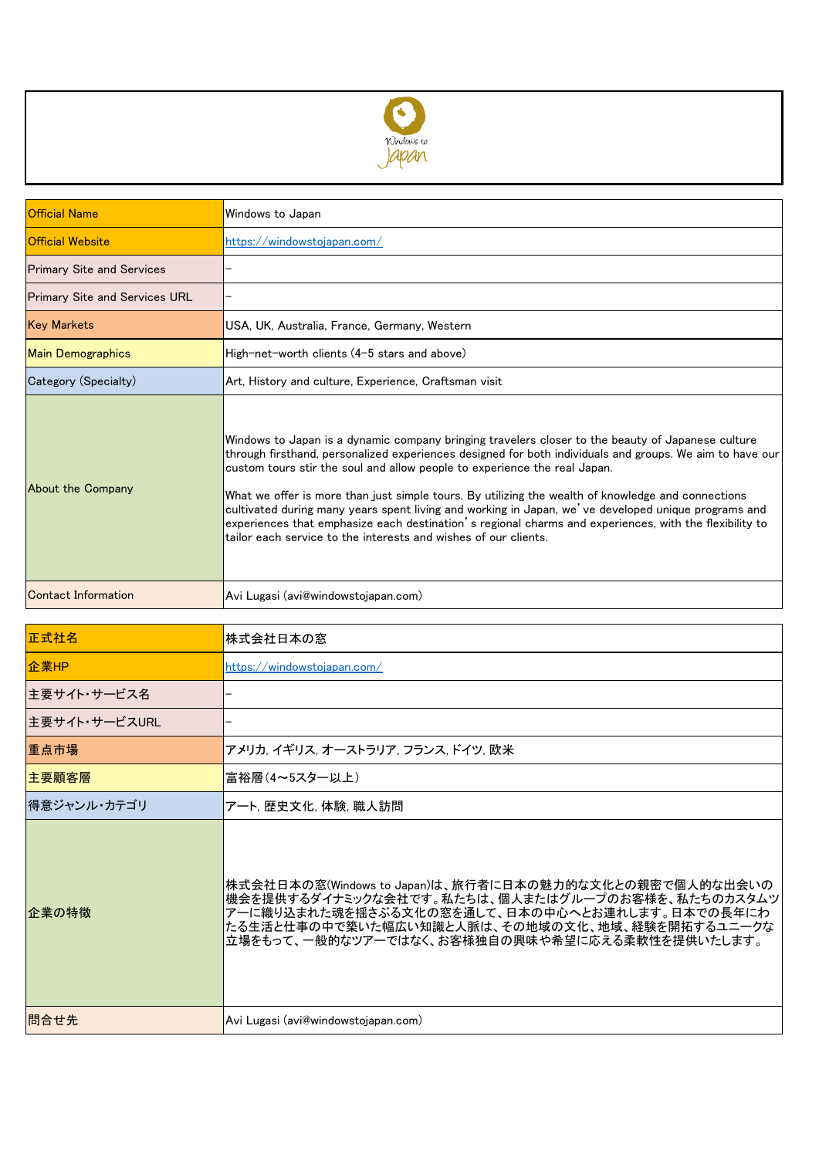

| <b>Official Name</b>                 | Windows to Japan                                                                                                                                                                                                                                                                                                                                                                                                                                                                                                                                                                                                                                                                     |
|--------------------------------------|--------------------------------------------------------------------------------------------------------------------------------------------------------------------------------------------------------------------------------------------------------------------------------------------------------------------------------------------------------------------------------------------------------------------------------------------------------------------------------------------------------------------------------------------------------------------------------------------------------------------------------------------------------------------------------------|
| <b>Official Website</b>              | https://windowstojapan.com/                                                                                                                                                                                                                                                                                                                                                                                                                                                                                                                                                                                                                                                          |
| <b>Primary Site and Services</b>     |                                                                                                                                                                                                                                                                                                                                                                                                                                                                                                                                                                                                                                                                                      |
| <b>Primary Site and Services URL</b> |                                                                                                                                                                                                                                                                                                                                                                                                                                                                                                                                                                                                                                                                                      |
| <b>Key Markets</b>                   | USA, UK, Australia, France, Germany, Western                                                                                                                                                                                                                                                                                                                                                                                                                                                                                                                                                                                                                                         |
| <b>Main Demographics</b>             | High-net-worth clients (4-5 stars and above)                                                                                                                                                                                                                                                                                                                                                                                                                                                                                                                                                                                                                                         |
| Category (Specialty)                 | Art, History and culture, Experience, Craftsman visit                                                                                                                                                                                                                                                                                                                                                                                                                                                                                                                                                                                                                                |
| About the Company                    | Windows to Japan is a dynamic company bringing travelers closer to the beauty of Japanese culture<br>through firsthand, personalized experiences designed for both individuals and groups. We aim to have our<br>custom tours stir the soul and allow people to experience the real Japan.<br>What we offer is more than just simple tours. By utilizing the wealth of knowledge and connections<br>cultivated during many years spent living and working in Japan, we've developed unique programs and<br>experiences that emphasize each destination's regional charms and experiences, with the flexibility to<br>tailor each service to the interests and wishes of our clients. |
| <b>Contact Information</b>           | Avi Lugasi (avi@windowstojapan.com)                                                                                                                                                                                                                                                                                                                                                                                                                                                                                                                                                                                                                                                  |

| 正式社名          | 株式会社日本の窓                                                                                                                                                                                                                                                         |
|---------------|------------------------------------------------------------------------------------------------------------------------------------------------------------------------------------------------------------------------------------------------------------------|
| 企業HP          | https://windowstoiapan.com/                                                                                                                                                                                                                                      |
| 主要サイト・サービス名   |                                                                                                                                                                                                                                                                  |
| 主要サイト・サービスURL |                                                                                                                                                                                                                                                                  |
| 重点市場          | アメリカ, イギリス, オーストラリア, フランス, ドイツ, 欧米                                                                                                                                                                                                                               |
| 主要顧客層         | 富裕層(4~5スター以上)                                                                                                                                                                                                                                                    |
| 得意ジャンル・カテゴリ   | アート, 歴史文化, 体験, 職人訪問                                                                                                                                                                                                                                              |
| 企業の特徴         | 株式会社日本の窓(Windows to Japan)は、旅行者に日本の魅力的な文化との親密で個人的な出会いの<br>機会を提供するダイナミックな会社です。私たちは、個人またはグループのお客様を、私たちのカスタムツ<br>アーに織り込まれた魂を揺さぶる文化の窓を通して、日本の中心へとお連れします。日本での長年にわ<br>たる生活と仕事の中で築いた幅広い知識と人脈は、その地域の文化、地域、経験を開拓するユニークな<br>立場をもって、一般的なツアーではなく、お客様独自の興味や希望に応える柔軟性を提供いたします。 |
| 問合せ先          | Avi Lugasi (avi@windowstojapan.com)                                                                                                                                                                                                                              |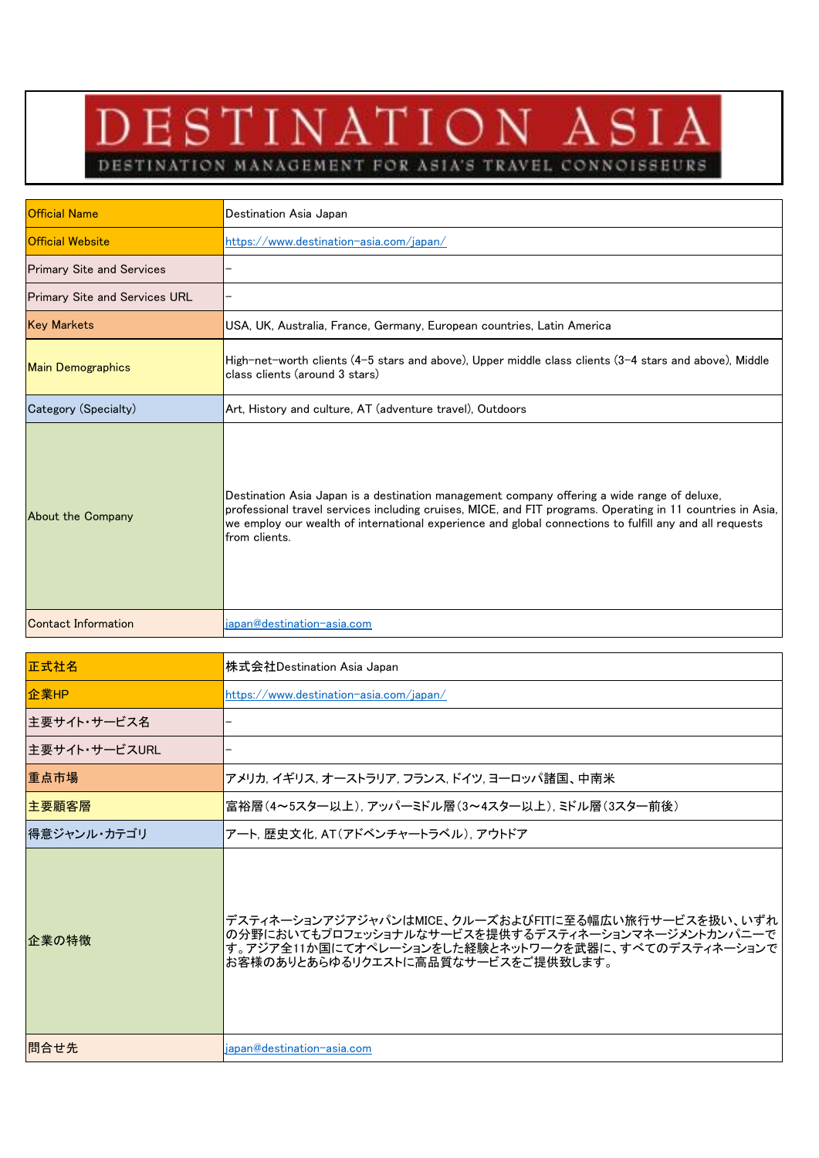## DESTINATION ASIA

DESTINATION MANAGEMENT FOR ASIA'S TRAVEL CONNOISSEURS

| <b>Official Name</b>                 | Destination Asia Japan                                                                                                                                                                                                                                                                                                                |
|--------------------------------------|---------------------------------------------------------------------------------------------------------------------------------------------------------------------------------------------------------------------------------------------------------------------------------------------------------------------------------------|
| <b>Official Website</b>              | https://www.destination-asia.com/japan/                                                                                                                                                                                                                                                                                               |
| <b>Primary Site and Services</b>     |                                                                                                                                                                                                                                                                                                                                       |
| <b>Primary Site and Services URL</b> |                                                                                                                                                                                                                                                                                                                                       |
| <b>Key Markets</b>                   | USA, UK, Australia, France, Germany, European countries, Latin America                                                                                                                                                                                                                                                                |
| <b>Main Demographics</b>             | High-net-worth clients (4–5 stars and above), Upper middle class clients (3–4 stars and above), Middle<br>class clients (around 3 stars)                                                                                                                                                                                              |
| Category (Specialty)                 | Art, History and culture, AT (adventure travel), Outdoors                                                                                                                                                                                                                                                                             |
| About the Company                    | Destination Asia Japan is a destination management company offering a wide range of deluxe,<br>professional travel services including cruises, MICE, and FIT programs. Operating in 11 countries in Asia,<br>we employ our wealth of international experience and global connections to fulfill any and all requests<br>from clients. |
| <b>Contact Information</b>           | japan@destination-asia.com                                                                                                                                                                                                                                                                                                            |

| 正式社名          | 株式会社Destination Asia Japan                                                                                                                                                                           |
|---------------|------------------------------------------------------------------------------------------------------------------------------------------------------------------------------------------------------|
| │企業HP         | https://www.destination-asia.com/japan/                                                                                                                                                              |
| 主要サイト・サービス名   |                                                                                                                                                                                                      |
| 主要サイト・サービスURL |                                                                                                                                                                                                      |
| 重点市場          | アメリカ, イギリス, オーストラリア, フランス, ドイツ, ヨーロッパ諸国、中南米                                                                                                                                                          |
| 主要顧客層         | 富裕層(4~5スター以上),アッパーミドル層(3~4スター以上),ミドル層(3スター前後)                                                                                                                                                        |
| 得意ジャンル・カテゴリ   | アート, 歴史文化, AT(アドベンチャートラベル), アウトドア                                                                                                                                                                    |
| 企業の特徴         | デスティネーションアジアジャパンはMICE、クルーズおよびFITに至る幅広い旅行サービスを扱い、いずれ<br>の分野においてもプロフェッショナルなサービスを提供するデスティネーションマネージメントカンパニーで<br>す。アジア全11か国にてオペレーションをした経験とネットワークを武器に、すべてのデスティネーションで<br>お客様のありとあらゆるリクエストに高品質なサービスをご提供致します。 |
| 問合せ先          | japan@destination-asia.com                                                                                                                                                                           |